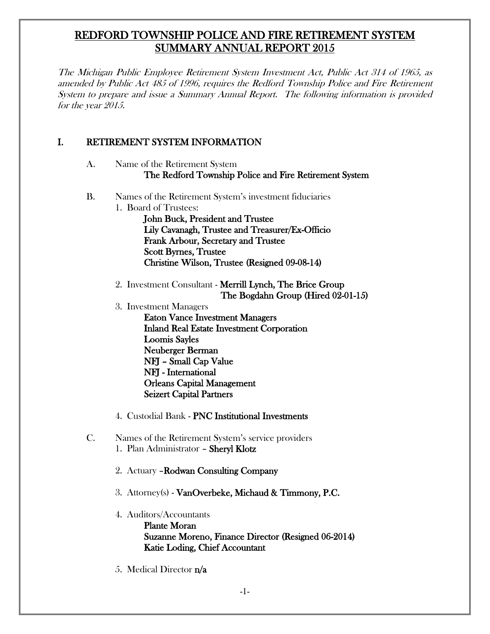## REDFORD TOWNSHIP POLICE AND FIRE RETIREMENT SYSTEM SUMMARY ANNUAL REPORT 2015

The Michigan Public Employee Retirement System Investment Act, Public Act 314 of 1965, as amended by Public Act 485 of 1996, requires the Redford Township Police and Fire Retirement System to prepare and issue a Summary Annual Report. The following information is provided for the year 2015.

### I. RETIREMENT SYSTEM INFORMATION

- A. Name of the Retirement System The Redford Township Police and Fire Retirement System
- B. Names of the Retirement System's investment fiduciaries
	- 1. Board of Trustees: John Buck, President and Trustee Lily Cavanagh, Trustee and Treasurer/Ex-Officio Frank Arbour, Secretary and Trustee Scott Byrnes, Trustee Christine Wilson, Trustee (Resigned 09-08-14)
	- 2. Investment Consultant Merrill Lynch, The Brice Group The Bogdahn Group (Hired 02-01-15)
	- 3. Investment Managers

Eaton Vance Investment Managers Inland Real Estate Investment Corporation Loomis Sayles Neuberger Berman NFJ – Small Cap Value NFJ - International Orleans Capital Management Seizert Capital Partners

- 4. Custodial Bank PNC Institutional Investments
- C. Names of the Retirement System's service providers 1. Plan Administrator – Sheryl Klotz
	- 2. Actuary –Rodwan Consulting Company
	- 3. Attorney(s) VanOverbeke, Michaud & Timmony, P.C.
	- 4. Auditors/Accountants Plante Moran Suzanne Moreno, Finance Director (Resigned 06-2014) Katie Loding, Chief Accountant
	- 5. Medical Director n/a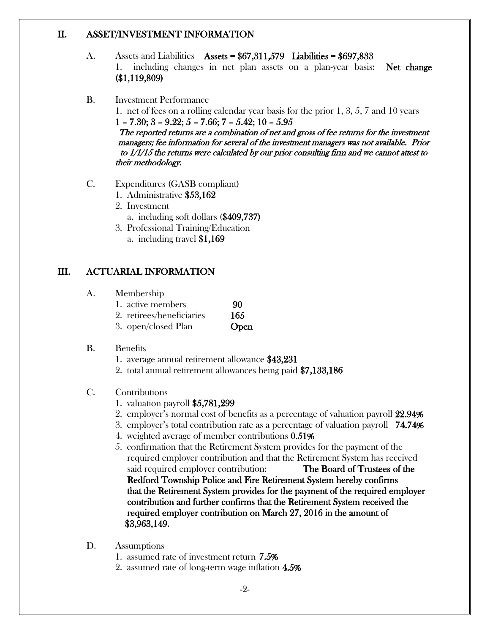#### II. ASSET/INVESTMENT INFORMATION

- A. Assets and Liabilities Assets = \$67,311,579 Liabilities = \$697,833 1. including changes in net plan assets on a plan-year basis: Net change (\$1,119,809)
- B. Investment Performance 1. net of fees on a rolling calendar year basis for the prior 1, 3, 5, 7 and 10 years  $1 - 7.30$ ;  $3 - 9.22$ ;  $5 - 7.66$ ;  $7 - 5.42$ ;  $10 - 5.95$ The reported returns are a combination of net and gross of fee returns for the investment managers; fee information for several of the investment managers was not available. Prior to 1/1/15 the returns were calculated by our prior consulting firm and we cannot attest to their methodology.
- C. Expenditures (GASB compliant)
	- 1. Administrative \$53,162
	- 2. Investment
		- a. including soft dollars (\$409,737)
	- 3. Professional Training/Education
		- a. including travel \$1,169

## III. ACTUARIAL INFORMATION

- A. Membership
	- 1. active members 90
	- 2. retirees/beneficiaries 165
	- 3. open/closed Plan Open
- B. Benefits
	- 1. average annual retirement allowance \$43,231
	- 2. total annual retirement allowances being paid \$7,133,186
- C. Contributions
	- 1. valuation payroll \$5,781,299
	- 2. employer's normal cost of benefits as a percentage of valuation payroll 22.94%
	- 3. employer's total contribution rate as a percentage of valuation payroll 74.74%
	- 4. weighted average of member contributions 0.51%
	- 5. confirmation that the Retirement System provides for the payment of the required employer contribution and that the Retirement System has received said required employer contribution: The Board of Trustees of the Redford Township Police and Fire Retirement System hereby confirms that the Retirement System provides for the payment of the required employer contribution and further confirms that the Retirement System received the required employer contribution on March 27, 2016 in the amount of \$3,963,149.
- D. Assumptions
	- 1. assumed rate of investment return 7.5%
	- 2. assumed rate of long-term wage inflation 4.5%